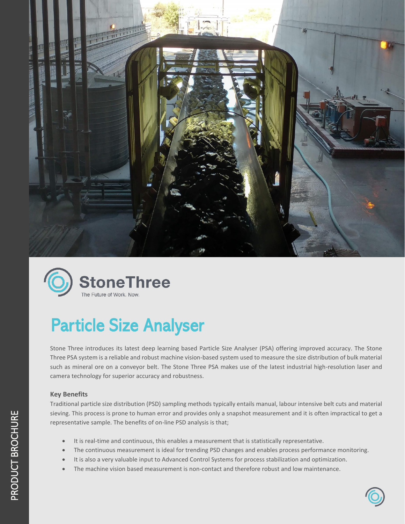



# Particle Size Analyser

Stone Three introduces its latest deep learning based Particle Size Analyser (PSA) offering improved accuracy. The Stone Three PSA system is a reliable and robust machine vision-based system used to measure the size distribution of bulk material such as mineral ore on a conveyor belt. The Stone Three PSA makes use of the latest industrial high-resolution laser and camera technology for superior accuracy and robustness.

## **Key Benefits**

Traditional particle size distribution (PSD) sampling methods typically entails manual, labour intensive belt cuts and material sieving. This process is prone to human error and provides only a snapshot measurement and it is often impractical to get a representative sample. The benefits of on-line PSD analysis is that;

- It is real-time and continuous, this enables a measurement that is statistically representative.
- The continuous measurement is ideal for trending PSD changes and enables process performance monitoring.
- It is also a very valuable input to Advanced Control Systems for process stabilization and optimization.
- The machine vision based measurement is non-contact and therefore robust and low maintenance.